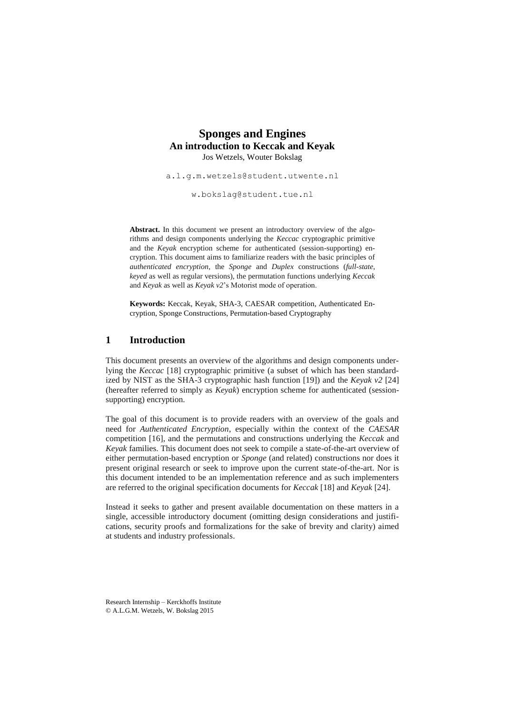# **Sponges and Engines An introduction to Keccak and Keyak** Jos Wetzels, Wouter Bokslag

[a.l.g.m.wetzels@student.utwente.nl](mailto:a.l.g.m.wetzels@student.utwente.nl)

[w.bokslag@student.tue.nl](mailto:w.bokslag@student.tue.nl)

Abstract. In this document we present an introductory overview of the algorithms and design components underlying the *Keccac* cryptographic primitive and the *Keyak* encryption scheme for authenticated (session-supporting) encryption. This document aims to familiarize readers with the basic principles of *authenticated encryption*, the *Sponge* and *Duplex* constructions (*full-state*, *keyed* as well as regular versions), the permutation functions underlying *Keccak* and *Keyak* as well as *Keyak v2*'s Motorist mode of operation.

**Keywords:** Keccak, Keyak, SHA-3, CAESAR competition, Authenticated Encryption, Sponge Constructions, Permutation-based Cryptography

## **1 Introduction**

This document presents an overview of the algorithms and design components underlying the *Keccac* [18] cryptographic primitive (a subset of which has been standardized by NIST as the SHA-3 cryptographic hash function [19]) and the *Keyak v2* [24] (hereafter referred to simply as *Keyak*) encryption scheme for authenticated (sessionsupporting) encryption.

The goal of this document is to provide readers with an overview of the goals and need for *Authenticated Encryption*, especially within the context of the *CAESAR* competition [16], and the permutations and constructions underlying the *Keccak* and *Keyak* families. This document does not seek to compile a state-of-the-art overview of either permutation-based encryption or *Sponge* (and related) constructions nor does it present original research or seek to improve upon the current state-of-the-art. Nor is this document intended to be an implementation reference and as such implementers are referred to the original specification documents for *Keccak* [18] and *Keyak* [24].

Instead it seeks to gather and present available documentation on these matters in a single, accessible introductory document (omitting design considerations and justifications, security proofs and formalizations for the sake of brevity and clarity) aimed at students and industry professionals.

Research Internship – Kerckhoffs Institute © A.L.G.M. Wetzels, W. Bokslag 2015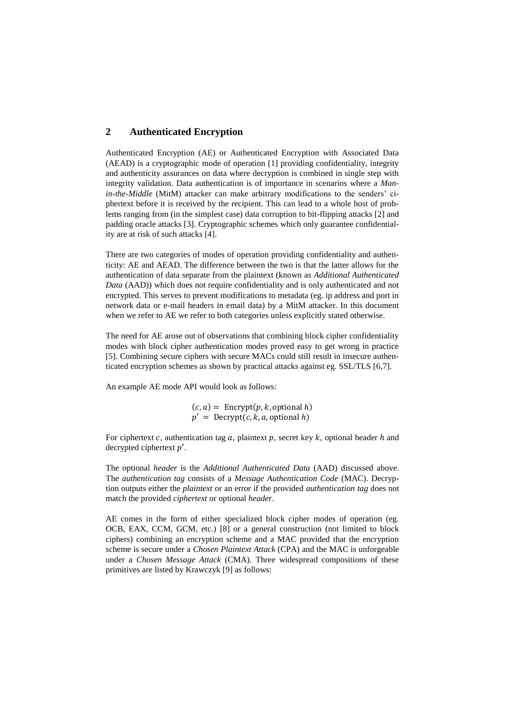# **2 Authenticated Encryption**

Authenticated Encryption (AE) or Authenticated Encryption with Associated Data (AEAD) is a cryptographic mode of operation [1] providing confidentiality, integrity and authenticity assurances on data where decryption is combined in single step with integrity validation. Data authentication is of importance in scenarios where a *Manin-the-Middle* (MitM) attacker can make arbitrary modifications to the senders' ciphertext before it is received by the recipient. This can lead to a whole host of problems ranging from (in the simplest case) data corruption to bit-flipping attacks [2] and padding oracle attacks [3]. Cryptographic schemes which only guarantee confidentiality are at risk of such attacks [4].

There are two categories of modes of operation providing confidentiality and authenticity: AE and AEAD. The difference between the two is that the latter allows for the authentication of data separate from the plaintext (known as *Additional Authenticated Data* (AAD)) which does not require confidentiality and is only authenticated and not encrypted. This serves to prevent modifications to metadata (eg. ip address and port in network data or e-mail headers in email data) by a MitM attacker. In this document when we refer to AE we refer to both categories unless explicitly stated otherwise.

The need for AE arose out of observations that combining block cipher confidentiality modes with block cipher authentication modes proved easy to get wrong in practice [5]. Combining secure ciphers with secure MACs could still result in insecure authenticated encryption schemes as shown by practical attacks against eg. SSL/TLS [6,7].

An example AE mode API would look as follows:

 $(c, a) =$  Encrypt $(p, k,$  optional h)  $p' = \text{Decrypt}(c, k, a, \text{optional } h)$ 

For ciphertext  $c$ , authentication tag  $a$ , plaintext  $p$ , secret key  $k$ , optional header  $h$  and decrypted ciphertext  $p'$ .

The optional *header* is the *Additional Authenticated Data* (AAD) discussed above. The *authentication tag* consists of a *Message Authentication Code* (MAC). Decryption outputs either the *plaintext* or an error if the provided *authentication tag* does not match the provided *ciphertext* or optional *header*.

AE comes in the form of either specialized block cipher modes of operation (eg. OCB, EAX, CCM, GCM, etc.) [8] or a general construction (not limited to block ciphers) combining an encryption scheme and a MAC provided that the encryption scheme is secure under a *Chosen Plaintext Attack* (CPA) and the MAC is unforgeable under a *Chosen Message Attack* (CMA). Three widespread compositions of these primitives are listed by Krawczyk [9] as follows: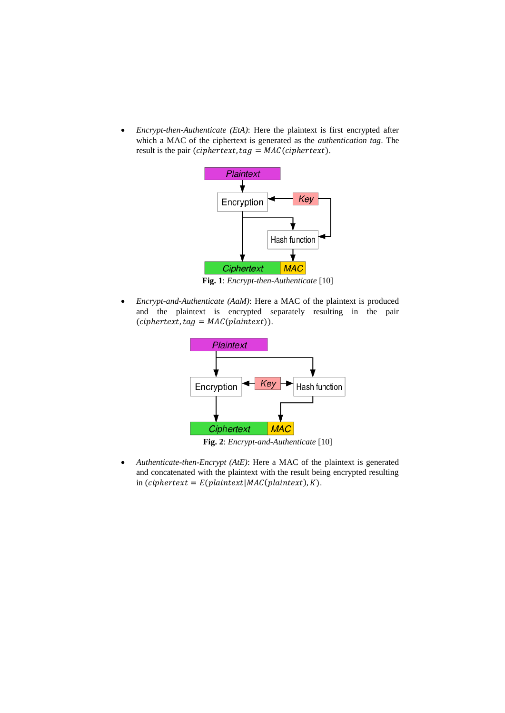*Encrypt-then-Authenticate (EtA)*: Here the plaintext is first encrypted after which a MAC of the ciphertext is generated as the *authentication tag*. The result is the pair (*ciphertext*,  $tag = MAC(ciphertext)$ .



**Fig. 1**: *Encrypt-then-Authenticate* [10]

 *Encrypt-and-Authenticate (AaM)*: Here a MAC of the plaintext is produced and the plaintext is encrypted separately resulting in the pair  $(ciphertext, tag = MAC(plaintext)).$ 



**Fig. 2**: *Encrypt-and-Authenticate* [10]

 *Authenticate-then-Encrypt (AtE)*: Here a MAC of the plaintext is generated and concatenated with the plaintext with the result being encrypted resulting in (ciphertext =  $E(plaintext | MAC(plaintext), K)$ .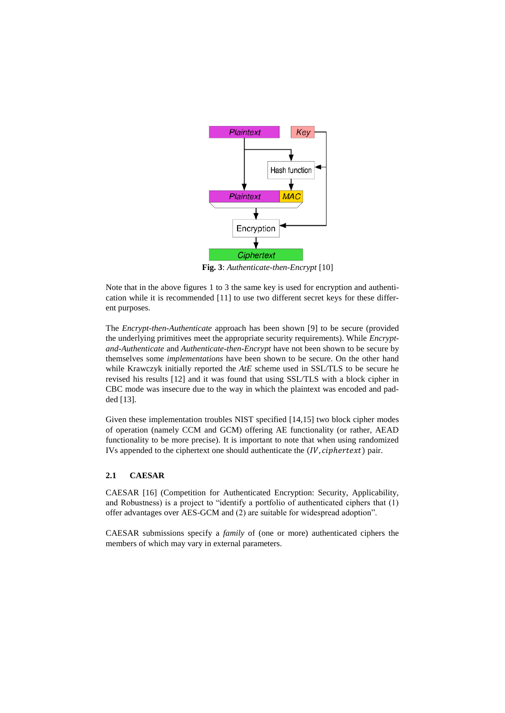

**Fig. 3**: *Authenticate-then-Encrypt* [10]

Note that in the above figures 1 to 3 the same key is used for encryption and authentication while it is recommended [11] to use two different secret keys for these different purposes.

The *Encrypt-then-Authenticate* approach has been shown [9] to be secure (provided the underlying primitives meet the appropriate security requirements). While *Encryptand-Authenticate* and *Authenticate-then-Encrypt* have not been shown to be secure by themselves some *implementations* have been shown to be secure. On the other hand while Krawczyk initially reported the *AtE* scheme used in SSL/TLS to be secure he revised his results [12] and it was found that using SSL/TLS with a block cipher in CBC mode was insecure due to the way in which the plaintext was encoded and padded [13].

Given these implementation troubles NIST specified [14,15] two block cipher modes of operation (namely CCM and GCM) offering AE functionality (or rather, AEAD functionality to be more precise). It is important to note that when using randomized IVs appended to the ciphertext one should authenticate the  $(IV, ciphertext)$  pair.

## **2.1 CAESAR**

CAESAR [16] (Competition for Authenticated Encryption: Security, Applicability, and Robustness) is a project to "identify a portfolio of authenticated ciphers that (1) offer advantages over AES-GCM and (2) are suitable for widespread adoption".

CAESAR submissions specify a *family* of (one or more) authenticated ciphers the members of which may vary in external parameters.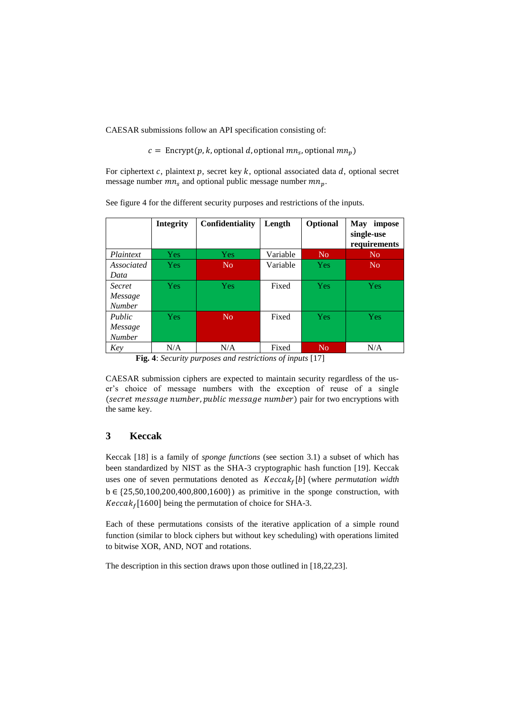CAESAR submissions follow an API specification consisting of:

 $c =$  Encrypt(p, k, optional d, optional  $mn_s$ , optional  $mn_p$ )

For ciphertext  $c$ , plaintext  $p$ , secret key  $k$ , optional associated data  $d$ , optional secret message number  $mn_s$  and optional public message number  $mn_n$ .

See figure 4 for the different security purposes and restrictions of the inputs.

|               | <b>Integrity</b> | <b>Confidentiality</b> | Length   | Optional       | <b>May</b><br>impose<br>single-use<br>requirements |
|---------------|------------------|------------------------|----------|----------------|----------------------------------------------------|
| Plaintext     | Yes/             | Yes                    | Variable | N <sub>o</sub> | N <sub>0</sub>                                     |
| Associated    | <b>Yes</b>       | N <sub>0</sub>         | Variable | <b>Yes</b>     | N <sub>0</sub>                                     |
| Data          |                  |                        |          |                |                                                    |
| <i>Secret</i> | Yes.             | Yes                    | Fixed    | Yes            | Yes                                                |
| Message       |                  |                        |          |                |                                                    |
| <b>Number</b> |                  |                        |          |                |                                                    |
| Public        | <b>Yes</b>       | No                     | Fixed    | Yes            | Yes                                                |
| Message       |                  |                        |          |                |                                                    |
| <b>Number</b> |                  |                        |          |                |                                                    |
| Key           | N/A              | N/A                    | Fixed    | N <sub>o</sub> | N/A                                                |

**Fig. 4**: *Security purposes and restrictions of inputs* [17]

CAESAR submission ciphers are expected to maintain security regardless of the user's choice of message numbers with the exception of reuse of a single (secret message number, public message number) pair for two encryptions with the same key.

# **3 Keccak**

Keccak [18] is a family of *sponge functions* (see section 3.1) a subset of which has been standardized by NIST as the SHA-3 cryptographic hash function [19]. Keccak uses one of seven permutations denoted as  $Keccak_f[b]$  (where *permutation width* b ∈ {25,50,100,200,400,800,1600}) as primitive in the sponge construction, with  $Keccak<sub>f</sub>[1600]$  being the permutation of choice for SHA-3.

Each of these permutations consists of the iterative application of a simple round function (similar to block ciphers but without key scheduling) with operations limited to bitwise XOR, AND, NOT and rotations.

The description in this section draws upon those outlined in [18,22,23].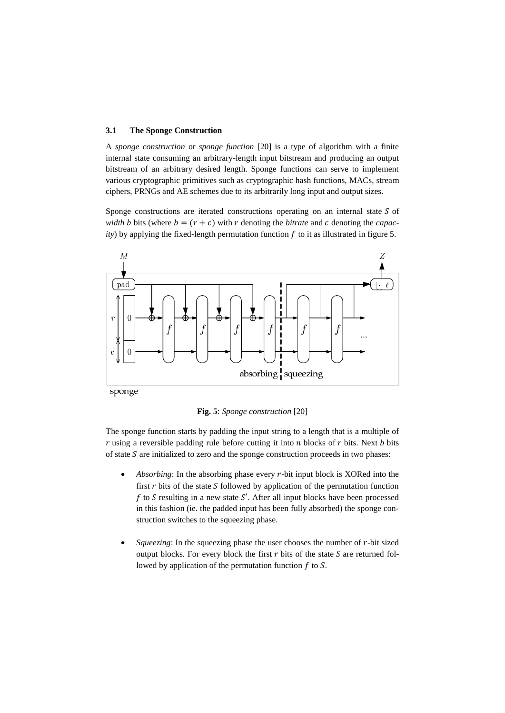#### **3.1 The Sponge Construction**

A *sponge construction* or *sponge function* [20] is a type of algorithm with a finite internal state consuming an arbitrary-length input bitstream and producing an output bitstream of an arbitrary desired length. Sponge functions can serve to implement various cryptographic primitives such as cryptographic hash functions, MACs, stream ciphers, PRNGs and AE schemes due to its arbitrarily long input and output sizes.

Sponge constructions are iterated constructions operating on an internal state  $S$  of *width b* bits (where  $b = (r + c)$  with r denoting the *bitrate* and c denoting the *capac*-*) by applying the fixed-length permutation function*  $*f*$  *to it as illustrated in figure 5.* 



sponge

**Fig. 5**: *Sponge construction* [20]

The sponge function starts by padding the input string to a length that is a multiple of  $r$  using a reversible padding rule before cutting it into  $n$  blocks of  $r$  bits. Next  $b$  bits of state  $S$  are initialized to zero and the sponge construction proceeds in two phases:

- *Absorbing*: In the absorbing phase every *r*-bit input block is XORed into the first  $r$  bits of the state  $S$  followed by application of the permutation function f to S resulting in a new state S'. After all input blocks have been processed in this fashion (ie. the padded input has been fully absorbed) the sponge construction switches to the squeezing phase.
- *Squeezing*: In the squeezing phase the user chooses the number of  $r$ -bit sized output blocks. For every block the first  $r$  bits of the state  $S$  are returned followed by application of the permutation function  $f$  to  $S$ .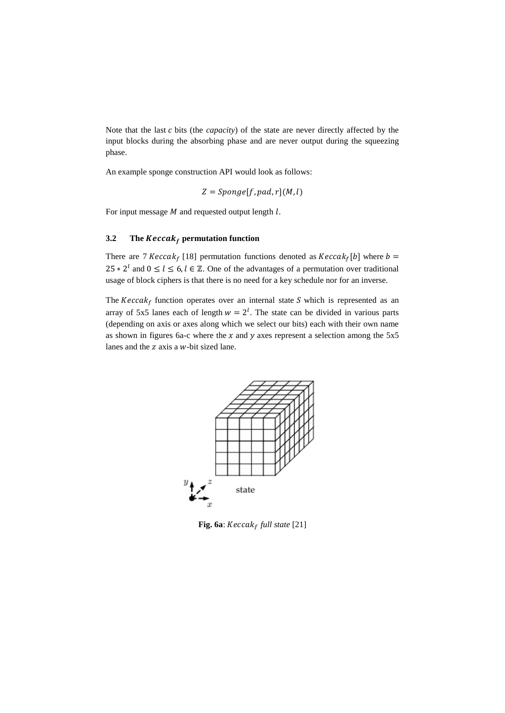Note that the last  $c$  bits (the *capacity*) of the state are never directly affected by the input blocks during the absorbing phase and are never output during the squeezing phase.

An example sponge construction API would look as follows:

$$
Z = Sponge[f, pad, r](M, l)
$$

For input message  $M$  and requested output length  $l$ .

## **3.2 The**  $\text{Keccak}_f$  **permutation function**

There are 7  $Keccak_f$  [18] permutation functions denoted as  $Keccak_f$ [b] where  $b =$ 25  $*$  2<sup>l</sup> and 0 ≤ l ≤ 6, l ∈ Z. One of the advantages of a permutation over traditional usage of block ciphers is that there is no need for a key schedule nor for an inverse.

The  $Keccak_f$  function operates over an internal state S which is represented as an array of 5x5 lanes each of length  $w = 2^l$ . The state can be divided in various parts (depending on axis or axes along which we select our bits) each with their own name as shown in figures 6a-c where the  $x$  and  $y$  axes represent a selection among the 5x5 lanes and the  $z$  axis a  $w$ -bit sized lane.



**Fig. 6a**:  $Keccak_f$  full state [21]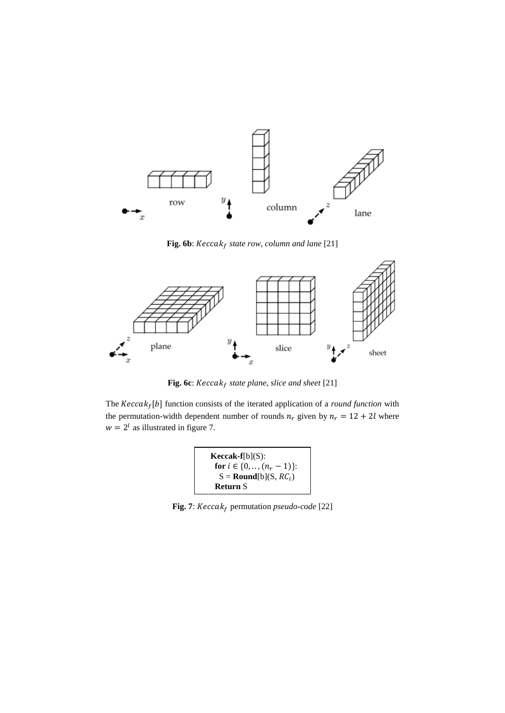

Fig. 6b: *Keccak<sub>f</sub> state row, column and lane* [21]



Fig. 6c: Keccak<sub>f</sub> state plane, slice and sheet [21]

The  $Keccak_f[b]$  function consists of the iterated application of a *round function* with the permutation-width dependent number of rounds  $n_r$  given by  $n_r = 12 + 2l$  where  $w = 2^l$  as illustrated in figure 7.

$$
Keccak-f[b](S):
$$
  
for  $i \in \{0, ..., (n_r - 1)\}$ :  

$$
S = \text{Round}[b](S, RC_i)
$$
  
Return S

Fig. 7:  $Keccak_f$  permutation *pseudo-code* [22]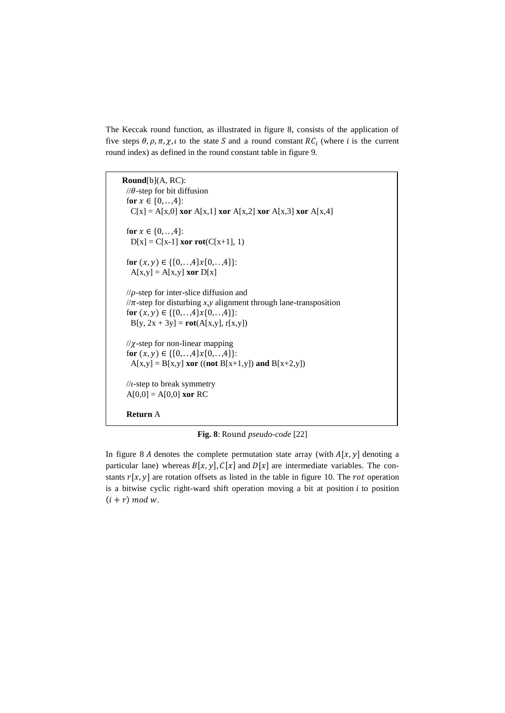The Keccak round function, as illustrated in figure 8, consists of the application of five steps  $\theta$ ,  $\rho$ ,  $\pi$ ,  $\chi$ ,  $\iota$  to the state S and a round constant RC<sub>i</sub> (where i is the current round index) as defined in the round constant table in figure 9.

**Round**[b](A, RC):  $\pi/\theta$ -step for bit diffusion for  $x \in \{0, ..., 4\}$ :  $C[x] = A[x,0]$  **xor**  $A[x,1]$  **xor**  $A[x,2]$  **xor**  $A[x,3]$  **xor**  $A[x,4]$ for  $x \in \{0, ..., 4\}$ :  $D[x] = C[x-1]$  **xor rot** $(C[x+1], 1)$ for  $(x, y) \in \{\{0, ..., 4\}x\{0, ..., 4\}\}$ :  $A[x,y] = A[x,y]$  **xor**  $D[x]$  $\pi$ -step for inter-slice diffusion and  $\pi$ -step for disturbing *x*, *y* alignment through lane-transposition for  $(x, y) \in \{\{0, ..., 4\}x\{0, ..., 4\}\}$ :  $B[y, 2x + 3y] = \text{rot}(A[x, y], r[x, y])$  $1/\chi$ -step for non-linear mapping for  $(x, y) \in \{\{0, ..., 4\}x\{0, ..., 4\}\}$ :  $A[x,y] = B[x,y]$  **xor** ((**not**  $B[x+1,y]$ ) **and**  $B[x+2,y]$ )  $\frac{1}{\iota}$ -step to break symmetry  $A[0,0] = A[0,0]$  **xor** RC **Return** A

**Fig. 8**: Round *pseudo-code* [22]

In figure 8 *A* denotes the complete permutation state array (with  $A[x, y]$  denoting a particular lane) whereas  $B[x, y]$ ,  $C[x]$  and  $D[x]$  are intermediate variables. The constants  $r[x, y]$  are rotation offsets as listed in the table in figure 10. The *rot* operation is a bitwise cyclic right-ward shift operation moving a bit at position  $i$  to position  $(i + r) \mod w$ .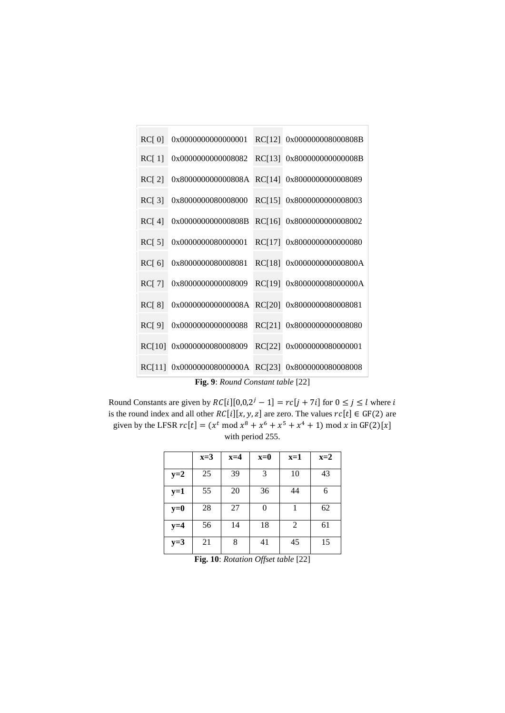| RC[0]                             | 0x0000000000000001        | RC[12] | 0x000000008000808B |  |  |
|-----------------------------------|---------------------------|--------|--------------------|--|--|
| RC[1]                             | 0x0000000000008082        | RC[13] | 0x800000000000008B |  |  |
| RC[2]                             | 0x800000000000808A        | RC[14] | 0x8000000000008089 |  |  |
| RC[3]                             | 0x8000000080008000        | RC[15] | 0x8000000000008003 |  |  |
| RC[4]                             | 0x000000000000808B        | RC[16] | 0x8000000000008002 |  |  |
| RC[5]                             | 0x0000000080000001        | RC[17] | 0x8000000000000080 |  |  |
| RC[6]                             | 0x8000000080008081        | RC[18] | 0x000000000000800A |  |  |
| RC[7]                             | 0x8000000000008009        | RC[19] | 0x800000008000000A |  |  |
| RC[8]                             | 0x000000000000008A        | RC[20] | 0x8000000080008081 |  |  |
| RC[9]                             | 0x0000000000000088        | RC[21] | 0x8000000000008080 |  |  |
| RC[10]                            | 0x0000000080008009        | RC[22] | 0x0000000080000001 |  |  |
| RC[11]                            | 0x000000008000000A RC[23] |        | 0x8000000080008008 |  |  |
| Fig. 9: Round Constant table [22] |                           |        |                    |  |  |

Round Constants are given by  $RC[i][0,0,2^j - 1] = rc[j + 7i]$  for  $0 \le j \le l$  where i is the round index and all other  $RC[i][x, y, z]$  are zero. The values  $rc[t] \in GF(2)$  are given by the LFSR  $rc[t] = (x^t \mod x^8 + x^6 + x^5 + x^4 + 1) \mod x$  in GF(2)[x] with period 255.

|       | $x=3$ | $x=4$ | $x=0$ | $x=1$ | $x=2$ |
|-------|-------|-------|-------|-------|-------|
| $y=2$ | 25    | 39    | 3     | 10    | 43    |
| $y=1$ | 55    | 20    | 36    | 44    | 6     |
| $y=0$ | 28    | 27    | 0     |       | 62    |
| $y=4$ | 56    | 14    | 18    | 2     | 61    |
| $y=3$ | 21    | 8     | 41    | 45    | 15    |

**Fig. 10**: *Rotation Offset table* [22]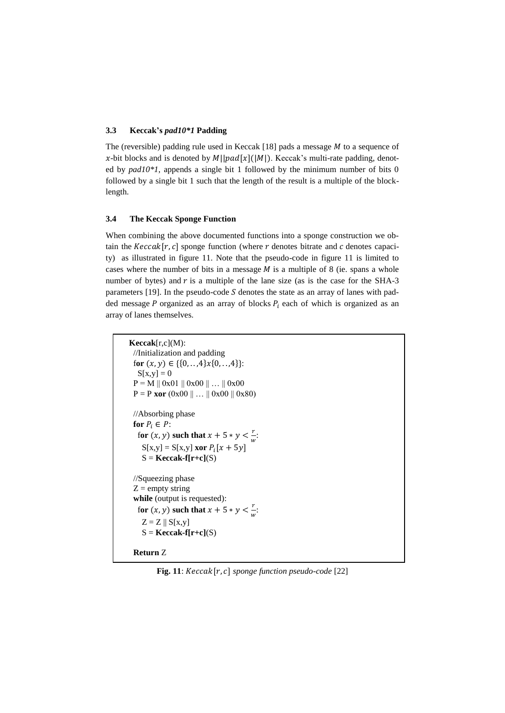## **3.3 Keccak's** *pad10\*1* **Padding**

The (reversible) padding rule used in Keccak [18] pads a message  $M$  to a sequence of x-bit blocks and is denoted by  $M||pad[x](|M|)$ . Keccak's multi-rate padding, denoted by *pad10\*1*, appends a single bit 1 followed by the minimum number of bits 0 followed by a single bit 1 such that the length of the result is a multiple of the blocklength.

## **3.4 The Keccak Sponge Function**

When combining the above documented functions into a sponge construction we obtain the  $Keccak[r, c]$  sponge function (where r denotes bitrate and c denotes capacity) as illustrated in figure 11. Note that the pseudo-code in figure 11 is limited to cases where the number of bits in a message  $M$  is a multiple of 8 (ie. spans a whole number of bytes) and  $r$  is a multiple of the lane size (as is the case for the SHA-3 parameters [19]. In the pseudo-code  $S$  denotes the state as an array of lanes with padded message  $P$  organized as an array of blocks  $P_i$  each of which is organized as an array of lanes themselves.

```
Keccak[r,c](M):
  //Initialization and padding
 for (x, y) \in \{\{0, ..., 4\}x\{0, ..., 4\}\}:
  S[x,y] = 0P = M \parallel 0x01 \parallel 0x00 \parallel ... \parallel 0x00P = P xor (0x00 || ... || 0x00 || 0x80) //Absorbing phase
 for P_i \in P:
for (x, y) such that x + 5 * y < \frac{r}{x}\frac{1}{w}:
S[x,y] = S[x,y] xor P_i[x + 5y]S = \text{Keccak-f}[r+c](S) //Squeezing phase
 Z = empty string
  while (output is requested):
for (x, y) such that x + 5 * y < \frac{r}{x}\frac{1}{w}:
    Z = Z \parallel S[x,y]S = \text{Keccak-f}[\text{r}+\text{c}](S) Return Z
```
**Fig. 11**:  $Keccak[r, c]$  sponge function pseudo-code [22]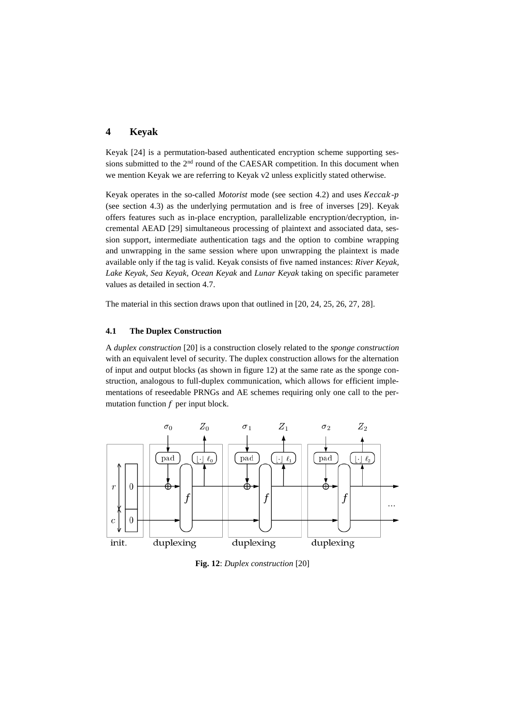# **4 Keyak**

Keyak [24] is a permutation-based authenticated encryption scheme supporting sessions submitted to the 2<sup>nd</sup> round of the CAESAR competition. In this document when we mention Keyak we are referring to Keyak v2 unless explicitly stated otherwise.

Keyak operates in the so-called *Motorist* mode (see section 4.2) and uses *Keccak-p* (see section 4.3) as the underlying permutation and is free of inverses [29]. Keyak offers features such as in-place encryption, parallelizable encryption/decryption, incremental AEAD [29] simultaneous processing of plaintext and associated data, session support, intermediate authentication tags and the option to combine wrapping and unwrapping in the same session where upon unwrapping the plaintext is made available only if the tag is valid. Keyak consists of five named instances: *River Keyak, Lake Keyak, Sea Keyak, Ocean Keyak* and *Lunar Keyak* taking on specific parameter values as detailed in section 4.7.

The material in this section draws upon that outlined in [20, 24, 25, 26, 27, 28].

## **4.1 The Duplex Construction**

A *duplex construction* [20] is a construction closely related to the *sponge construction* with an equivalent level of security. The duplex construction allows for the alternation of input and output blocks (as shown in figure 12) at the same rate as the sponge construction, analogous to full-duplex communication, which allows for efficient implementations of reseedable PRNGs and AE schemes requiring only one call to the permutation function  $f$  per input block.



**Fig. 12**: *Duplex construction* [20]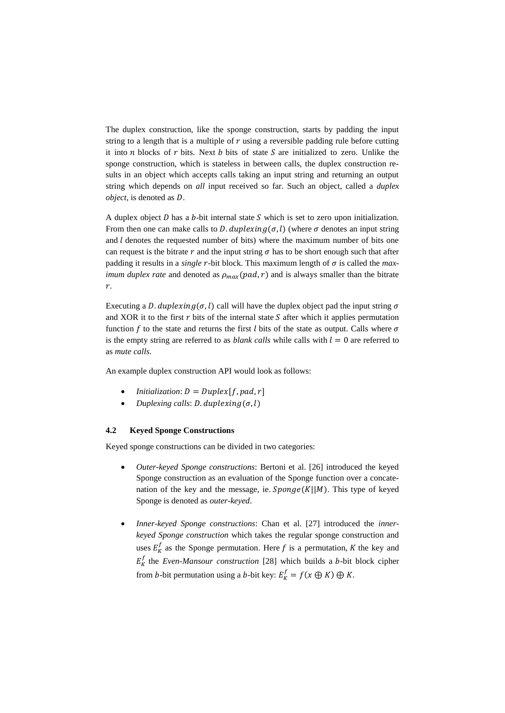The duplex construction, like the sponge construction, starts by padding the input string to a length that is a multiple of  $r$  using a reversible padding rule before cutting it into  $n$  blocks of  $r$  bits. Next  $b$  bits of state  $S$  are initialized to zero. Unlike the sponge construction, which is stateless in between calls, the duplex construction results in an object which accepts calls taking an input string and returning an output string which depends on *all* input received so far. Such an object, called a *duplex object*, is denoted as D.

A duplex object  $D$  has a  $b$ -bit internal state  $S$  which is set to zero upon initialization. From then one can make calls to *D. duplexing*( $\sigma$ , *l*) (where  $\sigma$  denotes an input string and  $l$  denotes the requested number of bits) where the maximum number of bits one can request is the bitrate r and the input string  $\sigma$  has to be short enough such that after padding it results in a *single*  $r$ -bit block. This maximum length of  $\sigma$  is called the *maximum duplex rate* and denoted as  $\rho_{max}(pad, r)$  and is always smaller than the bitrate  $r$ .

Executing a D. duplexing  $(\sigma, l)$  call will have the duplex object pad the input string  $\sigma$ and XOR it to the first  $r$  bits of the internal state  $S$  after which it applies permutation function  $f$  to the state and returns the first  $l$  bits of the state as output. Calls where  $\sigma$ is the empty string are referred to as *blank calls* while calls with  $l = 0$  are referred to as *mute calls*.

An example duplex construction API would look as follows:

- *Initialization:*  $D = Duplex[f, pad, r]$
- Duplexing calls:  $D$ . duplexing  $(\sigma, l)$

### **4.2 Keyed Sponge Constructions**

Keyed sponge constructions can be divided in two categories:

- *Outer-keyed Sponge constructions*: Bertoni et al. [26] introduced the keyed Sponge construction as an evaluation of the Sponge function over a concatenation of the key and the message, ie.  $Sponge(K||M)$ . This type of keyed Sponge is denoted as *outer-keyed*.
- *Inner*-*keyed Sponge constructions*: Chan et al. [27] introduced the *innerkeyed Sponge construction* which takes the regular sponge construction and uses  $E_K^f$  as the Sponge permutation. Here f is a permutation, K the key and  $E_K^f$  the *Even-Mansour construction* [28] which builds a *b*-bit block cipher from *b*-bit permutation using a *b*-bit key:  $E_K^f = f(x \oplus K) \oplus K$ .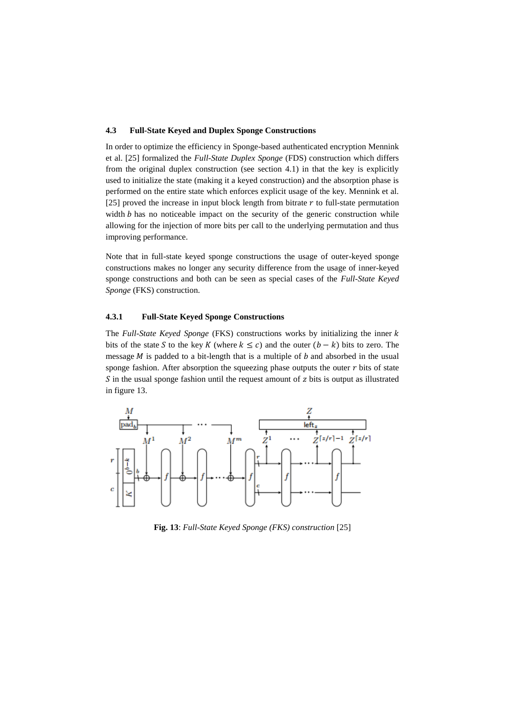#### **4.3 Full-State Keyed and Duplex Sponge Constructions**

In order to optimize the efficiency in Sponge-based authenticated encryption Mennink et al. [25] formalized the *Full-State Duplex Sponge* (FDS) construction which differs from the original duplex construction (see section 4.1) in that the key is explicitly used to initialize the state (making it a keyed construction) and the absorption phase is performed on the entire state which enforces explicit usage of the key. Mennink et al.  $[25]$  proved the increase in input block length from bitrate  $r$  to full-state permutation width  $b$  has no noticeable impact on the security of the generic construction while allowing for the injection of more bits per call to the underlying permutation and thus improving performance.

Note that in full-state keyed sponge constructions the usage of outer-keyed sponge constructions makes no longer any security difference from the usage of inner-keyed sponge constructions and both can be seen as special cases of the *Full-State Keyed Sponge* (FKS) construction.

### **4.3.1 Full-State Keyed Sponge Constructions**

The *Full-State Keyed Sponge* (FKS) constructions works by initializing the inner *k* bits of the state S to the key K (where  $k \leq c$ ) and the outer  $(b - k)$  bits to zero. The message  $M$  is padded to a bit-length that is a multiple of  $b$  and absorbed in the usual sponge fashion. After absorption the squeezing phase outputs the outer  $r$  bits of state  $S$  in the usual sponge fashion until the request amount of  $z$  bits is output as illustrated in figure 13.



**Fig. 13**: *Full-State Keyed Sponge (FKS) construction* [25]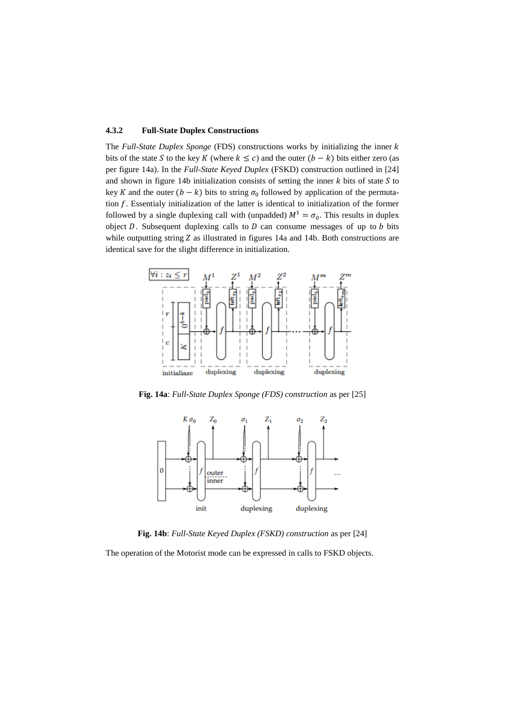### **4.3.2 Full-State Duplex Constructions**

The *Full-State Duplex Sponge* (FDS) constructions works by initializing the inner *k* bits of the state S to the key K (where  $k \leq c$ ) and the outer  $(b - k)$  bits either zero (as per figure 14a). In the *Full-State Keyed Duplex* (FSKD) construction outlined in [24] and shown in figure 14b initialization consists of setting the inner  $k$  bits of state  $S$  to key K and the outer  $(b - k)$  bits to string  $\sigma_0$  followed by application of the permutation  $f$ . Essentialy initialization of the latter is identical to initialization of the former followed by a single duplexing call with (unpadded)  $M^1 = \sigma_0$ . This results in duplex object  $D$ . Subsequent duplexing calls to  $D$  can consume messages of up to  $b$  bits while outputting string  $Z$  as illustrated in figures 14a and 14b. Both constructions are identical save for the slight difference in initialization.



**Fig. 14a**: *Full-State Duplex Sponge (FDS) construction* as per [25]



**Fig. 14b**: *Full-State Keyed Duplex (FSKD) construction* as per [24]

The operation of the Motorist mode can be expressed in calls to FSKD objects.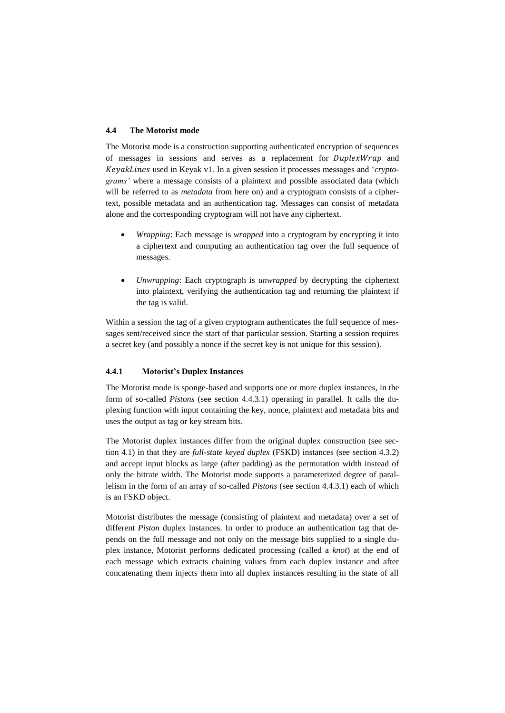#### **4.4 The Motorist mode**

The Motorist mode is a construction supporting authenticated encryption of sequences of messages in sessions and serves as a replacement for *DuplexWrap* and KeyakLines used in Keyak v1. In a given session it processes messages and '*cryptograms'* where a message consists of a plaintext and possible associated data (which will be referred to as *metadata* from here on) and a cryptogram consists of a ciphertext, possible metadata and an authentication tag. Messages can consist of metadata alone and the corresponding cryptogram will not have any ciphertext.

- *Wrapping*: Each message is *wrapped* into a cryptogram by encrypting it into a ciphertext and computing an authentication tag over the full sequence of messages.
- *Unwrapping*: Each cryptograph is *unwrapped* by decrypting the ciphertext into plaintext, verifying the authentication tag and returning the plaintext if the tag is valid.

Within a session the tag of a given cryptogram authenticates the full sequence of messages sent/received since the start of that particular session. Starting a session requires a secret key (and possibly a nonce if the secret key is not unique for this session).

### **4.4.1 Motorist's Duplex Instances**

The Motorist mode is sponge-based and supports one or more duplex instances, in the form of so-called *Pistons* (see section 4.4.3.1) operating in parallel. It calls the duplexing function with input containing the key, nonce, plaintext and metadata bits and uses the output as tag or key stream bits.

The Motorist duplex instances differ from the original duplex construction (see section 4.1) in that they are *full-state keyed duplex* (FSKD) instances (see section 4.3.2) and accept input blocks as large (after padding) as the permutation width instead of only the bitrate width. The Motorist mode supports a parameterized degree of parallelism in the form of an array of so-called *Pistons* (see section 4.4.3.1) each of which is an FSKD object.

Motorist distributes the message (consisting of plaintext and metadata) over a set of different *Piston* duplex instances. In order to produce an authentication tag that depends on the full message and not only on the message bits supplied to a single duplex instance, Motorist performs dedicated processing (called a *knot*) at the end of each message which extracts chaining values from each duplex instance and after concatenating them injects them into all duplex instances resulting in the state of all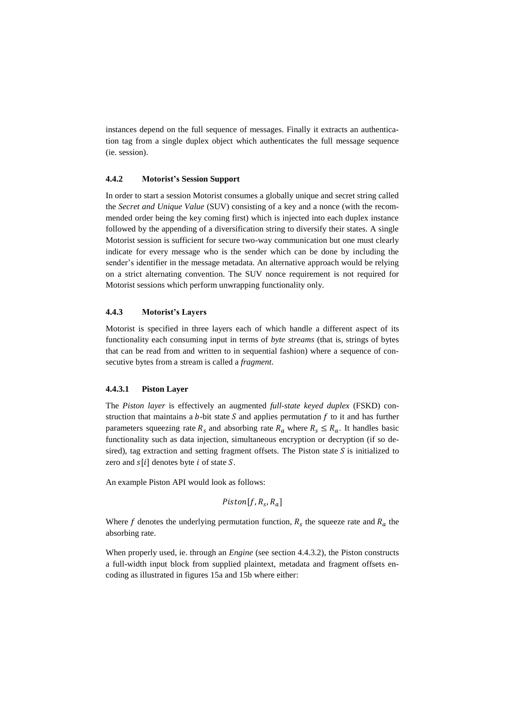instances depend on the full sequence of messages. Finally it extracts an authentication tag from a single duplex object which authenticates the full message sequence (ie. session).

#### **4.4.2 Motorist's Session Support**

In order to start a session Motorist consumes a globally unique and secret string called the *Secret and Unique Value* (SUV) consisting of a key and a nonce (with the recommended order being the key coming first) which is injected into each duplex instance followed by the appending of a diversification string to diversify their states. A single Motorist session is sufficient for secure two-way communication but one must clearly indicate for every message who is the sender which can be done by including the sender's identifier in the message metadata. An alternative approach would be relying on a strict alternating convention. The SUV nonce requirement is not required for Motorist sessions which perform unwrapping functionality only.

### **4.4.3 Motorist's Layers**

Motorist is specified in three layers each of which handle a different aspect of its functionality each consuming input in terms of *byte streams* (that is, strings of bytes that can be read from and written to in sequential fashion) where a sequence of consecutive bytes from a stream is called a *fragment*.

#### **4.4.3.1 Piston Layer**

The *Piston layer* is effectively an augmented *full-state keyed duplex* (FSKD) construction that maintains a  $b$ -bit state  $S$  and applies permutation  $f$  to it and has further parameters squeezing rate  $R_s$  and absorbing rate  $R_a$  where  $R_s \leq R_a$ . It handles basic functionality such as data injection, simultaneous encryption or decryption (if so desired), tag extraction and setting fragment offsets. The Piston state  $S$  is initialized to zero and  $s[i]$  denotes byte *i* of state *S*.

An example Piston API would look as follows:

$$
Piston[f, R_s, R_a]
$$

Where f denotes the underlying permutation function,  $R_s$  the squeeze rate and  $R_a$  the absorbing rate.

When properly used, ie. through an *Engine* (see section 4.4.3.2), the Piston constructs a full-width input block from supplied plaintext, metadata and fragment offsets encoding as illustrated in figures 15a and 15b where either: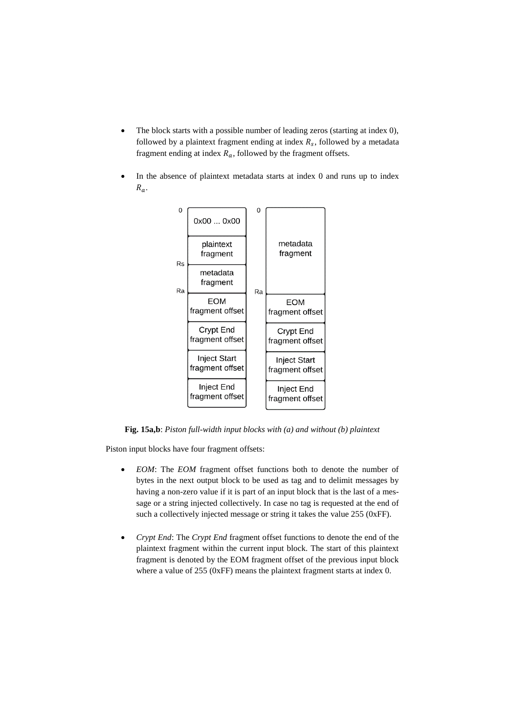- The block starts with a possible number of leading zeros (starting at index 0), followed by a plaintext fragment ending at index  $R_s$ , followed by a metadata fragment ending at index  $R_a$ , followed by the fragment offsets.
- In the absence of plaintext metadata starts at index 0 and runs up to index  $R_a$ .



**Fig. 15a,b**: *Piston full-width input blocks with (a) and without (b) plaintext*

Piston input blocks have four fragment offsets:

- *EOM*: The *EOM* fragment offset functions both to denote the number of bytes in the next output block to be used as tag and to delimit messages by having a non-zero value if it is part of an input block that is the last of a message or a string injected collectively. In case no tag is requested at the end of such a collectively injected message or string it takes the value 255 (0xFF).
- *Crypt End*: The *Crypt End* fragment offset functions to denote the end of the plaintext fragment within the current input block. The start of this plaintext fragment is denoted by the EOM fragment offset of the previous input block where a value of 255 (0xFF) means the plaintext fragment starts at index 0.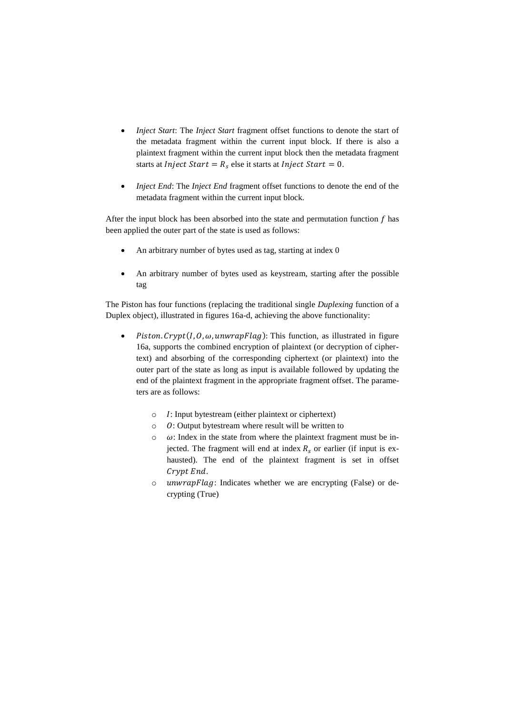- *Inject Start*: The *Inject Start* fragment offset functions to denote the start of the metadata fragment within the current input block. If there is also a plaintext fragment within the current input block then the metadata fragment starts at *Inject Start* =  $R_s$  else it starts at *Inject Start* = 0.
- *Inject End*: The *Inject End* fragment offset functions to denote the end of the metadata fragment within the current input block.

After the input block has been absorbed into the state and permutation function  $f$  has been applied the outer part of the state is used as follows:

- An arbitrary number of bytes used as tag, starting at index 0
- An arbitrary number of bytes used as keystream, starting after the possible tag

The Piston has four functions (replacing the traditional single *Duplexing* function of a Duplex object), illustrated in figures 16a-d, achieving the above functionality:

- Piston. Crypt(I,  $0$ ,  $\omega$ , unwrapFlag): This function, as illustrated in figure 16a, supports the combined encryption of plaintext (or decryption of ciphertext) and absorbing of the corresponding ciphertext (or plaintext) into the outer part of the state as long as input is available followed by updating the end of the plaintext fragment in the appropriate fragment offset. The parameters are as follows:
	- $\circ$  I: Input bytestream (either plaintext or ciphertext)
	- $\circ$  0: Output bytestream where result will be written to
	- $\circ$   $\omega$ : Index in the state from where the plaintext fragment must be injected. The fragment will end at index  $R_s$  or earlier (if input is exhausted). The end of the plaintext fragment is set in offset Crypt End.
	- o *unwrapFlag*: Indicates whether we are encrypting (False) or decrypting (True)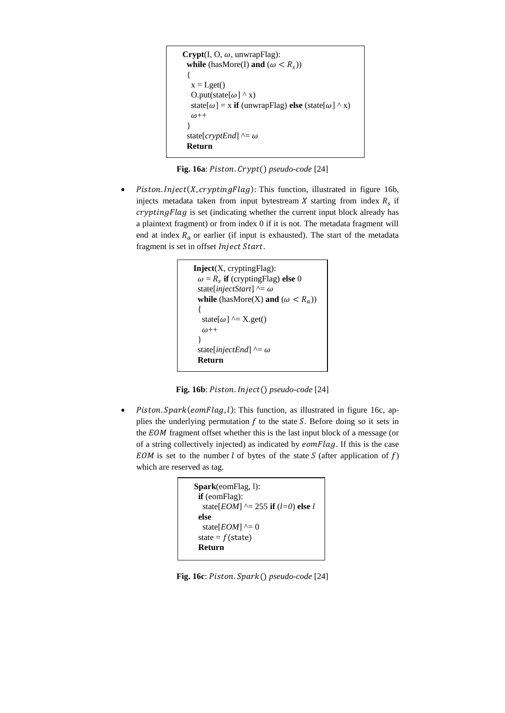```
Crypt(I, O, \omega, unwrapFlag):while (hasMore(I) and (\omega < R_s))
  {
  x = I.get()O.put(state[\omega] \wedge x)
  state[\omega] = x if (unwrapFlag) else (state[\omega] ^ x)
  \omega++
  }
 state[cryptEnd] ^= \omega Return
```
Fig. 16a: Piston. Crypt() pseudo-code [24]

Piston. Inject(X, crypting Flag): This function, illustrated in figure 16b, injects metadata taken from input bytestream  $X$  starting from index  $R_s$  if  $cryptographyFlag$  is set (indicating whether the current input block already has a plaintext fragment) or from index 0 if it is not. The metadata fragment will end at index  $R_a$  or earlier (if input is exhausted). The start of the metadata fragment is set in offset Inject Start.

```
Inject(X, cryptingFlag):
\omega = R_s if (cryptingFlag) else 0
 state[injectStart] ^{\wedge} = \omegawhile (hasMore(X) and (\omega < R_a))
  {
  state[\omega] ^= X.get()
  \omega++
  }
 state[injectEnd] \uparrow = \omega Return
```
**Fig. 16b**: Piston. Inject() pseudo-code [24]

*Piston. Spark*( $eomFlag, l$ ): This function, as illustrated in figure 16c, applies the underlying permutation  $f$  to the state  $S$ . Before doing so it sets in the EOM fragment offset whether this is the last input block of a message (or of a string collectively injected) as indicated by  $eomFlag$ . If this is the case EOM is set to the number  $l$  of bytes of the state  $S$  (after application of  $f$ ) which are reserved as tag.

```
Spark(eomFlag, l):
  if (eomFlag):
   state[EOM] ^= 255 if (l=0) else l
  else
  state[EOM] ^{\wedge} = 0state = f(state)
  Return
```
**Fig. 16c**: Piston. Spark() pseudo-code [24]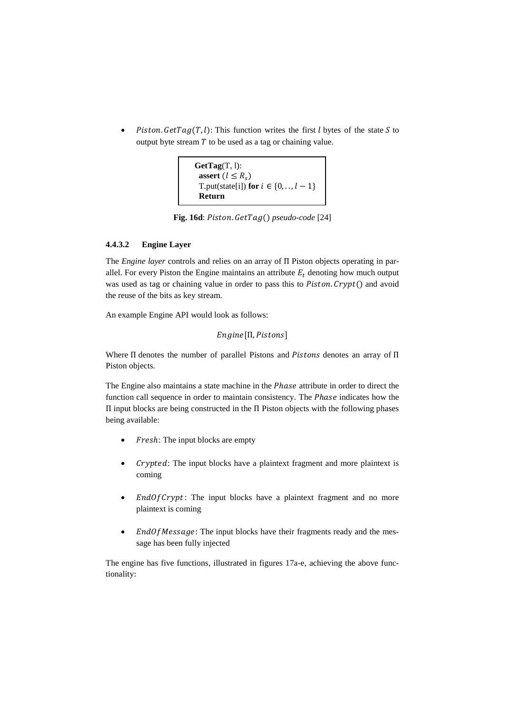*Piston. GetTag(T, l)*: This function writes the first *l* bytes of the state *S* to output byte stream  $T$  to be used as a tag or chaining value.

```
GetTag(T, l):
 assert (l \leq R_s)T.put(state[i]) for i \in \{0, \ldots, l-1\} Return
```
Fig. 16d: Piston. GetTag() pseudo-code<sup>[24]</sup>

## **4.4.3.2 Engine Layer**

The *Engine layer* controls and relies on an array of Π Piston objects operating in parallel. For every Piston the Engine maintains an attribute  $E_t$  denoting how much output was used as tag or chaining value in order to pass this to  $Piston$ .  $Crypt()$  and avoid the reuse of the bits as key stream.

An example Engine API would look as follows:

```
Engine[Π, Pistons]
```
Where  $\Pi$  denotes the number of parallel Pistons and Pistons denotes an array of  $\Pi$ Piston objects.

The Engine also maintains a state machine in the *Phase* attribute in order to direct the function call sequence in order to maintain consistency. The *Phase* indicates how the Π input blocks are being constructed in the Π Piston objects with the following phases being available:

- Fresh: The input blocks are empty
- Crypted: The input blocks have a plaintext fragment and more plaintext is coming
- $EndOfCrypt:$  The input blocks have a plaintext fragment and no more plaintext is coming
- $\bullet$  *EndOfMessage*: The input blocks have their fragments ready and the message has been fully injected

The engine has five functions, illustrated in figures 17a-e, achieving the above functionality: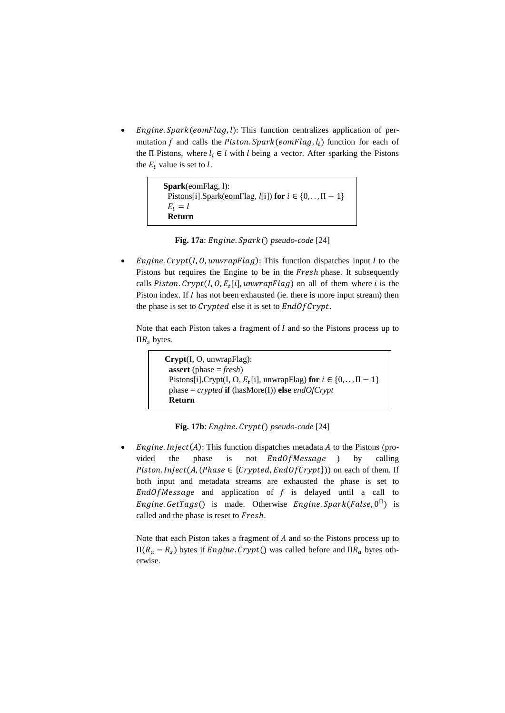*Engine. Spark*( $eomFlag, l$ ): This function centralizes application of permutation f and calls the Piston.  $Spark(eomFlag, l_i)$  function for each of the Π Pistons, where  $l_i \in l$  with  $l$  being a vector. After sparking the Pistons the  $E_t$  value is set to l.

```
Spark(eomFlag, l):
 Pistons[i].Spark(eomFlag, l[i]) for i \in \{0, \ldots, \Pi - 1\}E_t = l Return
```

|  |  |  | Fig. 17a: Engine. $Spark()$ pseudo-code [24] |  |
|--|--|--|----------------------------------------------|--|
|--|--|--|----------------------------------------------|--|

*Engine. Crypt*( $I, O$ , *unwrapFlag*): This function dispatches input  $I$  to the Pistons but requires the Engine to be in the Fresh phase. It subsequently calls Piston. Crypt(I,  $0$ ,  $E_t[i]$ , unwrapFlag) on all of them where i is the Piston index. If  $I$  has not been exhausted (ie. there is more input stream) then the phase is set to  $Crypted$  else it is set to  $EndOfCrypt$ .

Note that each Piston takes a fragment of  $I$  and so the Pistons process up to  $\Pi R_{\rm s}$  bytes.

> **Crypt**(I, O, unwrapFlag): **assert** (phase = *fresh*) Pistons[i].Crypt(I, O,  $E_t$ [i], unwrapFlag) **for**  $i \in \{0, \ldots, \Pi - 1\}$  phase = *crypted* **if** (hasMore(I)) **else** *endOfCrypt* **Return**

**Fig. 17b**: *Engine. Crypt*() *pseudo-code* [24]

*Engine. Inject*( $A$ ): This function dispatches metadata  $A$  to the Pistons (provided the phase is not  $EndOfMessage$  ) by calling *Piston. Inject*(*A*, (*Phase*  $\in$  {*Crypted*, *EndOf Crypt*})) on each of them. If both input and metadata streams are exhausted the phase is set to  $EndOfMessage$  and application of f is delayed until a call to *Engine. GetTags*() is made. Otherwise *Engine. Spark*(*False*,  $0^{\Pi}$ ) is called and the phase is reset to Fresh.

Note that each Piston takes a fragment of  $A$  and so the Pistons process up to  $\Pi(R_a - R_s)$  bytes if *Engine. Crypt* () was called before and  $\Pi R_a$  bytes otherwise.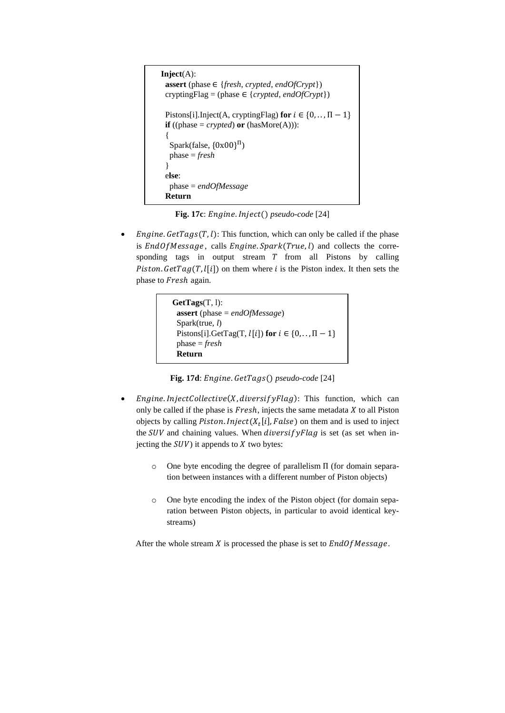```
Inject(A):
 assert (phase ∈ {fresh, crypted, endOfCrypt})
  cryptingFlag = (phase ∈ {crypted, endOfCrypt})
 Pistons[i].Inject(A, cryptingFlag) for i \in \{0, \ldots, \Pi - 1\}if ((phase = crypted) or (hasMore(A))):
 {
 Spark(false, {0x00}
Π)
   phase = fresh
  }
  else:
   phase = endOfMessage
  Return
```
**Fig. 17c**: *Engine. Inject*() *pseudo-code* [24]

*Engine. GetTags(T, l)*: This function, which can only be called if the phase is  $EndOfMessage$ , calls  $Engine(Spark(True, l)$  and collects the corresponding tags in output stream  $T$  from all Pistons by calling Piston.  $GetTag(T, l[i])$  on them where *i* is the Piston index. It then sets the phase to Fresh again.

```
GetTags(T, l):
  assert (phase = endOfMessage)
  Spark(true, l)
 Pistons[i].GetTag(T, l[i]) for i \in \{0, \ldots, \Pi-1\} phase = fresh
  Return
```
**Fig. 17d**: *Engine*. *GetTags*() *pseudo-code* [24]

- *Engine.InjectCollective(X, diversif yFlag)*: This function, which can only be called if the phase is  $Fresh$ , injects the same metadata  $X$  to all Piston objects by calling *Piston. Inject*  $(X_t[i], False)$  on them and is used to inject the  $SUV$  and chaining values. When diversify Flag is set (as set when injecting the  $SUV$ ) it appends to  $X$  two bytes:
	- o One byte encoding the degree of parallelism Π (for domain separation between instances with a different number of Piston objects)
	- o One byte encoding the index of the Piston object (for domain separation between Piston objects, in particular to avoid identical keystreams)

After the whole stream  $X$  is processed the phase is set to  $EndOfMessage$ .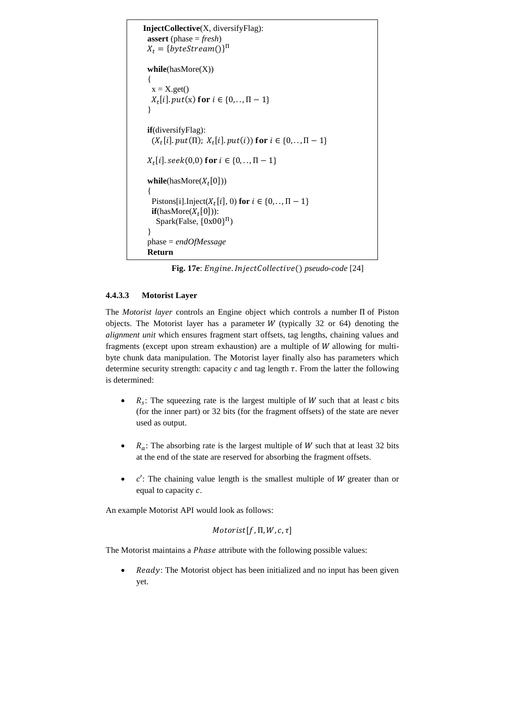```
InjectCollective(X, diversifyFlag):
  assert (phase = fresh)
X_t = \{byteStream() \}^{\Pi} while(hasMore(X))
  {
  x = X.get()X_t[i]. put(x) for i \in \{0, \ldots, \Pi - 1\} }
  if(diversifyFlag):
(X_t[i].put(\Pi); X_t[i].put(i)) for i \in \{0, ..., \Pi - 1\}X_t[i].seek(0,0) for i \in \{0, . . , \Pi -1\}\textbf{while}(\text{hasMore}(X_t[0])) {
Pistons[i].Inject(X_t[i], 0) for i \in \{0, \ldots, \Pi - 1\}if(hasMore(X_t[0])):
Spark(False, {0x00}^{\Pi}) }
  phase = endOfMessage
  Return
```
**Fig. 17e**: *Engine.InjectCollective() pseudo-code* [24]

# **4.4.3.3 Motorist Layer**

The *Motorist layer* controls an Engine object which controls a number Π of Piston objects. The Motorist layer has a parameter  $W$  (typically 32 or 64) denoting the *alignment unit* which ensures fragment start offsets, tag lengths, chaining values and fragments (except upon stream exhaustion) are a multiple of  $W$  allowing for multibyte chunk data manipulation. The Motorist layer finally also has parameters which determine security strength: capacity  $c$  and tag length  $\tau$ . From the latter the following is determined:

- $R_s$ : The squeezing rate is the largest multiple of *W* such that at least *c* bits (for the inner part) or 32 bits (for the fragment offsets) of the state are never used as output.
- $R_a$ : The absorbing rate is the largest multiple of W such that at least 32 bits at the end of the state are reserved for absorbing the fragment offsets.
- $c'$ : The chaining value length is the smallest multiple of W greater than or equal to capacity  $c$ .

An example Motorist API would look as follows:

 $Motorist[f, \Pi, W, c, \tau]$ 

The Motorist maintains a Phase attribute with the following possible values:

• Ready: The Motorist object has been initialized and no input has been given yet.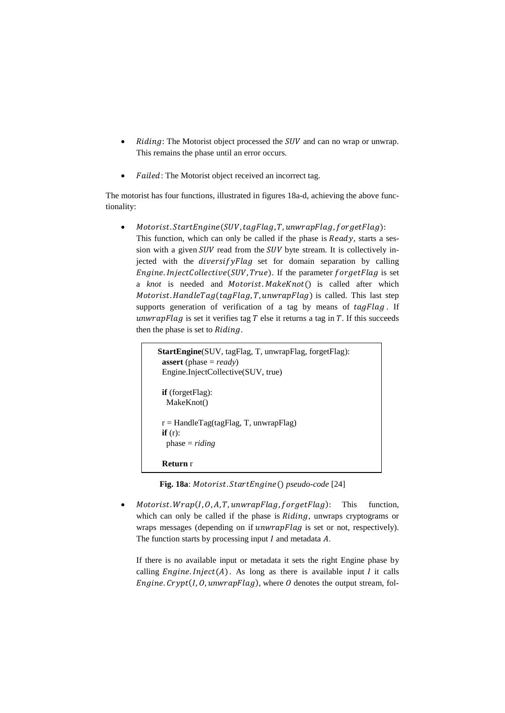- $Riding$ : The Motorist object processed the  $SUV$  and can no wrap or unwrap. This remains the phase until an error occurs.
- Failed: The Motorist object received an incorrect tag.

The motorist has four functions, illustrated in figures 18a-d, achieving the above functionality:

Motorist. StartEngine(SUV, tagFlag, T, unwrapFlag, forgetFlag): This function, which can only be called if the phase is  $Ready$ , starts a session with a given  $SUV$  read from the  $SUV$  byte stream. It is collectively injected with the  $diversifyFlag$  set for domain separation by calling Engine. InjectCollective(SUV, True). If the parameter forgetFlag is set a *knot* is needed and *Motorist. Make Knot* () is called after which Motorist. HandleTag(tagFlag, T, unwrapFlag) is called. This last step supports generation of verification of a tag by means of  $tagFlag$ . If unwrapFlag is set it verifies tag  $T$  else it returns a tag in  $T$ . If this succeeds then the phase is set to  $Riding$ .

```
StartEngine(SUV, tagFlag, T, unwrapFlag, forgetFlag):
  assert (phase = ready)
  Engine.InjectCollective(SUV, true)
  if (forgetFlag):
   MakeKnot()
 r =HandleTag(tagFlag, T, unwrapFlag)
 if(r):
   phase = riding
  Return r
```
**Fig. 18a**: Motorist. StartEngine() pseudo-code [24]

 $Motorist. Wrap(I, 0, A, T, unwrapFlag, forgetFlag):$  This function, which can only be called if the phase is  $Riding$ , unwraps cryptograms or wraps messages (depending on if  $unwrapFlag$  is set or not, respectively). The function starts by processing input  $I$  and metadata  $A$ .

If there is no available input or metadata it sets the right Engine phase by calling  $Engineeringu$ .  $Inject(A)$ . As long as there is available input  $I$  it calls Engine. Crypt(I, O, unwrapFlag), where O denotes the output stream, fol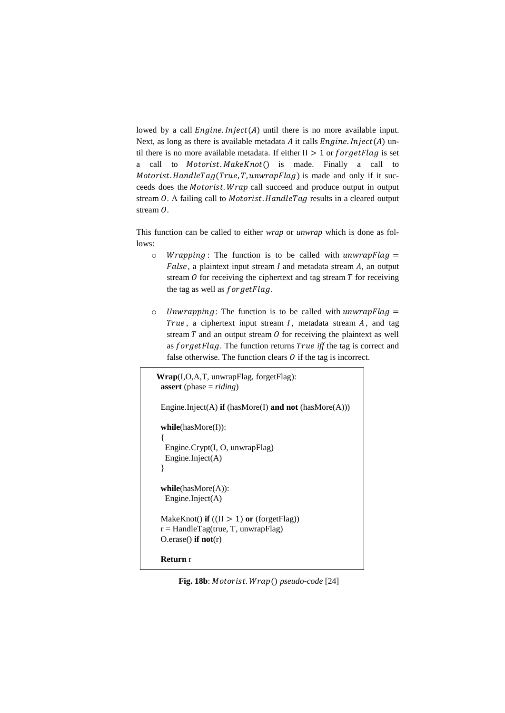lowed by a call  $Engineeringu = (A)$  until there is no more available input. Next, as long as there is available metadata  $A$  it calls  $Engineeringu = (A)$  until there is no more available metadata. If either  $\Pi > 1$  or  $forgetFlag$  is set a call to  $Motorist. MakeKnot()$  is made. Finally a call to Motorist. HandleTag(True, T, unwrapFlag) is made and only if it succeeds does the Motorist. Wrap call succeed and produce output in output stream  $0$ . A failing call to *Motorist*. HandleTag results in a cleared output stream  $\ddot{o}$ .

This function can be called to either *wrap* or *unwrap* which is done as follows:

- $\circ$  *Wrapping*: The function is to be called with *unwrapFlag* =  $False$ , a plaintext input stream  $I$  and metadata stream  $A$ , an output stream  $\theta$  for receiving the ciphertext and tag stream  $T$  for receiving the tag as well as  $for getFlag$ .
- $\circ$  Unwrapping: The function is to be called with *unwrapFlag* = True, a ciphertext input stream  $I$ , metadata stream  $A$ , and tag stream  $T$  and an output stream  $\hat{O}$  for receiving the plaintext as well as forgetFlag. The function returns True iff the tag is correct and false otherwise. The function clears  $\theta$  if the tag is incorrect.

```
Wrap(I,O,A,T, unwrapFlag, forgetFlag):
 assert (phase = riding)
 Engine.Inject(A) if (hasMore(I) and not (hasMore(A)))
  while(hasMore(I)):
 {
   Engine.Crypt(I, O, unwrapFlag)
   Engine.Inject(A)
  }
  while(hasMore(A)):
   Engine.Inject(A)
MakeKnot() if ((\Pi > 1) or (forgetFlag)r =HandleTag(true, T, unwrapFlag)
 O.erase() if not(r)
 Return r
```
**Fig. 18b**: Motorist. Wrap() pseudo-code [24]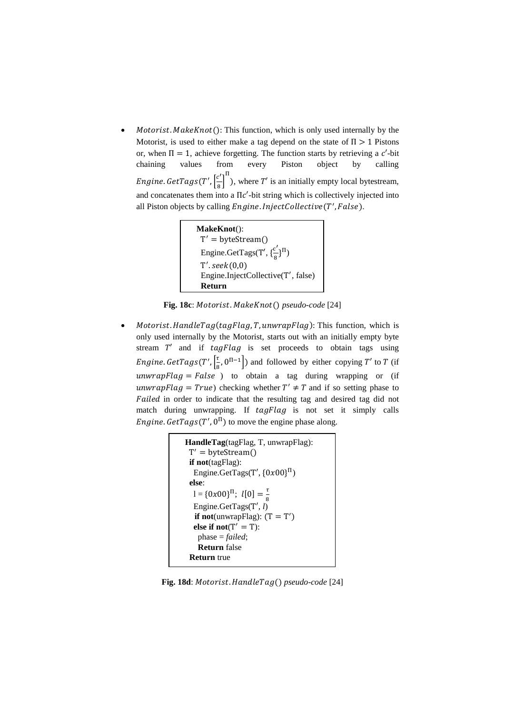$Motorist. MakeKnot(): This function, which is only used internally by the$ Motorist, is used to either make a tag depend on the state of  $\Pi > 1$  Pistons or, when  $\Pi = 1$ , achieve forgetting. The function starts by retrieving a c'-bit chaining values from every Piston object by calling Engine. GetTags(T',  $\int_{0}^{c'}$  $\left[\frac{c'}{8}\right]^{\Pi}$ ), where T' is an initially empty local bytestream, and concatenates them into a  $\Pi c'$ -bit string which is collectively injected into all Piston objects by calling Engine. InjectCollective(T', False).

```
MakeKnot():
 T
′ = byteStream()
Engine.GetTags(T', \{\frac{c'}{2}\}\frac{c}{8}}Π)
T'.\, seek(0,0)Engine.InjectCollective(T', false)
  Return
```
**Fig. 18c**: Motorist. MakeKnot() pseudo-code [24]

 $Motorist.$  HandleTag(tagFlag, T, unwrapFlag): This function, which is only used internally by the Motorist, starts out with an initially empty byte stream  $T'$  and if  $tagFlag$  is set proceeds to obtain tags using Engine. GetTags(T',  $\left[\frac{\tau}{c}\right]$  $\left( \frac{\tau}{8}, 0^{\Pi - 1} \right)$  and followed by either copying T' to T (if  $unwrapFlag = False$  ) to obtain a tag during wrapping or (if unwrapFlag = True) checking whether  $T' \neq T$  and if so setting phase to Failed in order to indicate that the resulting tag and desired tag did not match during unwrapping. If  $tagFlag$  is not set it simply calls *Engine. GetTags* (T',  $0^{\Pi}$ ) to move the engine phase along.

```
HandleTag(tagFlag, T, unwrapFlag):
   T
′ = byteStream()
    if not(tagFlag):
  Engine.GetTags(T', \{0x00\}^{\Pi})
     else:
  l = \{0x00\}^{\Pi}; l[0] = \frac{\tau}{8}8
     Engine.GetTags(T', l)
if not(unwrapFlag): (T = T')else if not(T' = T):
       phase = failed; 
       Return false
    Return true
```
**Fig. 18d**: Motorist. HandleTag() pseudo-code [24]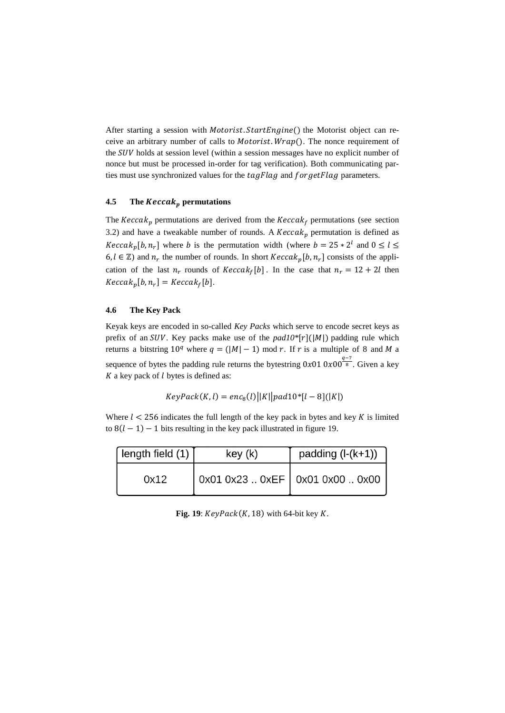After starting a session with Motorist. StartEngine() the Motorist object can receive an arbitrary number of calls to *Motorist. Wrap*(). The nonce requirement of the SUV holds at session level (within a session messages have no explicit number of nonce but must be processed in-order for tag verification). Both communicating parties must use synchronized values for the  $tagFlag$  and  $forgetFlag$  parameters.

### **4.5** The *Keccak*<sub>p</sub> permutations

The  $Keccak_n$  permutations are derived from the  $Keccak_f$  permutations (see section 3.2) and have a tweakable number of rounds. A  $Keccak<sub>p</sub>$  permutation is defined as *Keccak*<sub>p</sub>[b, n<sub>r</sub>] where b is the permutation width (where  $b = 25 * 2^l$  and  $0 \le l \le$  $6, l \in \mathbb{Z}$ ) and  $n_r$  the number of rounds. In short  $Keccak_p[b, n_r]$  consists of the application of the last  $n_r$  rounds of  $Keccak_f[b]$ . In the case that  $n_r = 12 + 2l$  then  $Keccak_p[b, n_r] = Keccak_f[b].$ 

### **4.6 The Key Pack**

Keyak keys are encoded in so-called *Key Packs* which serve to encode secret keys as prefix of an SUV. Key packs make use of the  $pad10*[r](|M|)$  padding rule which returns a bitstring  $10^q$  where  $q = (|M| - 1) \text{ mod } r$ . If r is a multiple of 8 and M a sequence of bytes the padding rule returns the bytestring  $0x010x00^{\frac{q-7}{8}}$ . Given a key  $K$  a key pack of  $l$  bytes is defined as:

$$
KeyPack(K, l) = enc_8(l) \big| |K| \big| pad 10^*[l-8] (|K|)
$$

Where  $l < 256$  indicates the full length of the key pack in bytes and key K is limited to  $8(l - 1) - 1$  bits resulting in the key pack illustrated in figure 19.

| length field $(1)$ | key (k)                           | padding $(l-(k+1))$ |  |
|--------------------|-----------------------------------|---------------------|--|
| 0x12               | 0x01 0x23  0xEF   0x01 0x00  0x00 |                     |  |

Fig. 19:  $KeyPack(K, 18)$  with 64-bit key  $K$ .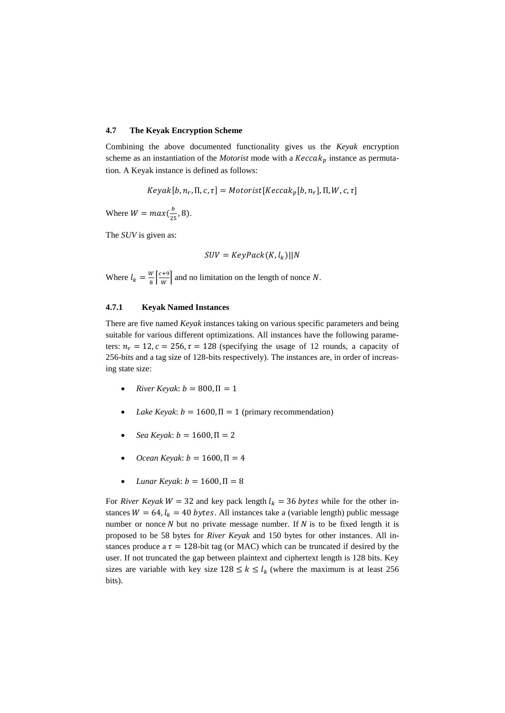#### **4.7 The Keyak Encryption Scheme**

Combining the above documented functionality gives us the *Keyak* encryption scheme as an instantiation of the *Motorist* mode with a  $Keccak<sub>p</sub>$  instance as permutation. A Keyak instance is defined as follows:

 $Keyak[b, n_r, \Pi, c, \tau] = Motorist[Keccak_p[b, n_r], \Pi, W, c, \tau]$ 

Where  $W = max(\frac{b}{\alpha})$  $\frac{b}{25}$ , 8).

The *SUV* is given as:

$$
SUV = KeyPack(K, l_k)||N
$$

Where  $l_k = \frac{W}{8}$  $\frac{W}{8}$  $\left[\frac{c+9}{W}\right]$  $\frac{1}{w}$  and no limitation on the length of nonce N.

#### **4.7.1 Keyak Named Instances**

There are five named *Keyak* instances taking on various specific parameters and being suitable for various different optimizations. All instances have the following parameters:  $n_r = 12$ ,  $c = 256$ ,  $\tau = 128$  (specifying the usage of 12 rounds, a capacity of 256-bits and a tag size of 128-bits respectively). The instances are, in order of increasing state size:

- $River Keyak$ :  $b = 800, \Pi = 1$
- *Lake Keyak*:  $b = 1600$ ,  $\Pi = 1$  (primary recommendation)
- $Sea Keyak: b = 1600, \Pi = 2$
- *Ocean Keyak*:  $b = 1600$ ,  $\Pi = 4$
- *Lunar Keyak*:  $b = 1600$ , Π = 8

For *River Keyak*  $W = 32$  and key pack length  $l_k = 36$  bytes while for the other instances  $W = 64$ ,  $l_k = 40$  bytes. All instances take a (variable length) public message number or nonce  $N$  but no private message number. If  $N$  is to be fixed length it is proposed to be 58 bytes for *River Keyak* and 150 bytes for other instances. All instances produce a  $\tau = 128$ -bit tag (or MAC) which can be truncated if desired by the user. If not truncated the gap between plaintext and ciphertext length is 128 bits. Key sizes are variable with key size  $128 \le k \le l_k$  (where the maximum is at least 256) bits).